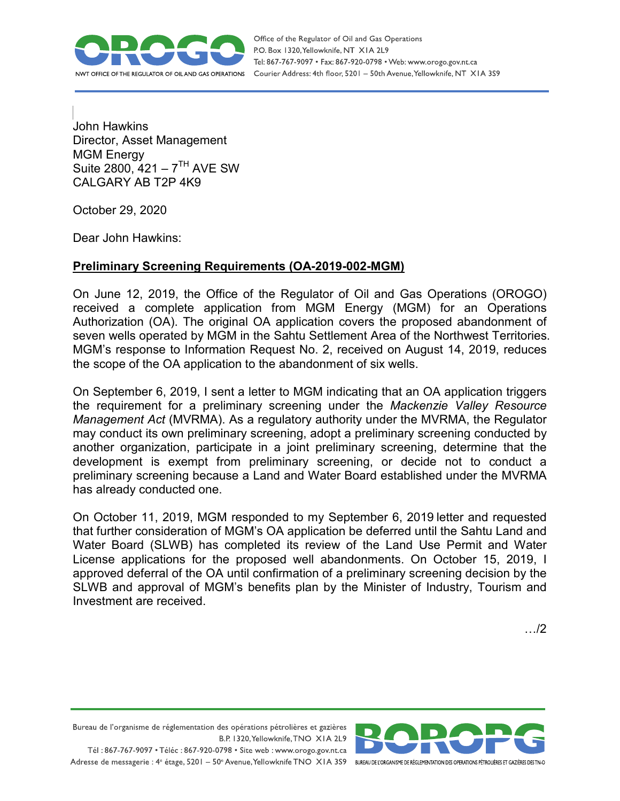

Office of the Regulator of Oil and Gas Operations P.O. Box 1320, Yellowknife, NT XIA 2L9 Tel: 867-767-9097 • Fax: 867-920-0798 • Web: www.orogo.gov.nt.ca Courier Address: 4th floor, 5201 - 50th Avenue, Yellowknife, NT XIA 3S9

John Hawkins Director, Asset Management MGM Energy Suite  $2800, 421 - 7^{TH}$  AVE SW CALGARY AB T2P 4K9

October 29, 2020

Dear John Hawkins:

## **Preliminary Screening Requirements (OA-2019-002-MGM)**

On June 12, 2019, the Office of the Regulator of Oil and Gas Operations (OROGO) received a complete application from MGM Energy (MGM) for an Operations Authorization (OA). The original OA application covers the proposed abandonment of seven wells operated by MGM in the Sahtu Settlement Area of the Northwest Territories. MGM's response to Information Request No. 2, received on August 14, 2019, reduces the scope of the OA application to the abandonment of six wells.

On September 6, 2019, I sent a letter to MGM indicating that an OA application triggers the requirement for a preliminary screening under the *Mackenzie Valley Resource Management Act* (MVRMA). As a regulatory authority under the MVRMA, the Regulator may conduct its own preliminary screening, adopt a preliminary screening conducted by another organization, participate in a joint preliminary screening, determine that the development is exempt from preliminary screening, or decide not to conduct a preliminary screening because a Land and Water Board established under the MVRMA has already conducted one.

On October 11, 2019, MGM responded to my September 6, 2019 letter and requested that further consideration of MGM's OA application be deferred until the Sahtu Land and Water Board (SLWB) has completed its review of the Land Use Permit and Water License applications for the proposed well abandonments. On October 15, 2019, I approved deferral of the OA until confirmation of a preliminary screening decision by the SLWB and approval of MGM's benefits plan by the Minister of Industry, Tourism and Investment are received.

…/2

Bureau de l'organisme de réglementation des opérations pétrolières et gazières B.P. 1320, Yellowknife, TNO XIA 2L9 Tél: 867-767-9097 • Téléc: 867-920-0798 • Site web: www.orogo.gov.nt.ca